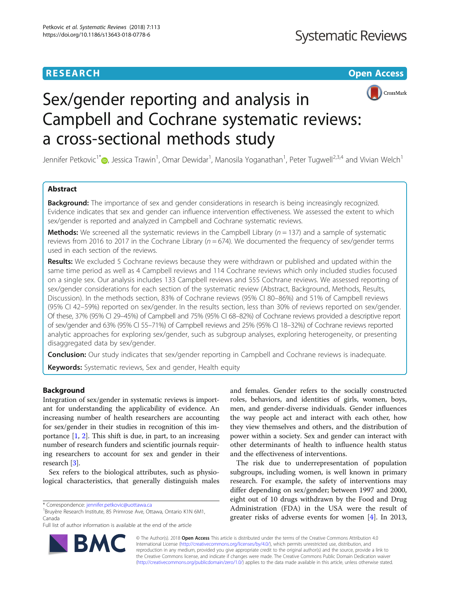## **RESEARCH CHINESE ARCH CHINESE ARCH CHINESE ARCH <b>CHINESE ARCH CHINESE ARCH CHINESE ARCH <b>CHINESE** ARCH **CHINESE ARCH** CHINESE ARCH **CHINESE ARCH** CHINESE ARCH **CHINESE ARCH 2014**



# Sex/gender reporting and analysis in Campbell and Cochrane systematic reviews: a cross-sectional methods study

Jennifer Petkovic<sup>1\*</sup>®[,](http://orcid.org/0000-0002-5824-584X) Jessica Trawin<sup>1</sup>, Omar Dewidar<sup>1</sup>, Manosila Yoganathan<sup>1</sup>, Peter Tugwell<sup>2,3,4</sup> and Vivian Welch<sup>1</sup>

## Abstract

**Background:** The importance of sex and gender considerations in research is being increasingly recognized. Evidence indicates that sex and gender can influence intervention effectiveness. We assessed the extent to which sex/gender is reported and analyzed in Campbell and Cochrane systematic reviews.

**Methods:** We screened all the systematic reviews in the Campbell Library  $(n = 137)$  and a sample of systematic reviews from 2016 to 2017 in the Cochrane Library ( $n = 674$ ). We documented the frequency of sex/gender terms used in each section of the reviews.

Results: We excluded 5 Cochrane reviews because they were withdrawn or published and updated within the same time period as well as 4 Campbell reviews and 114 Cochrane reviews which only included studies focused on a single sex. Our analysis includes 133 Campbell reviews and 555 Cochrane reviews. We assessed reporting of sex/gender considerations for each section of the systematic review (Abstract, Background, Methods, Results, Discussion). In the methods section, 83% of Cochrane reviews (95% CI 80–86%) and 51% of Campbell reviews (95% CI 42–59%) reported on sex/gender. In the results section, less than 30% of reviews reported on sex/gender. Of these, 37% (95% CI 29–45%) of Campbell and 75% (95% CI 68–82%) of Cochrane reviews provided a descriptive report of sex/gender and 63% (95% CI 55–71%) of Campbell reviews and 25% (95% CI 18–32%) of Cochrane reviews reported analytic approaches for exploring sex/gender, such as subgroup analyses, exploring heterogeneity, or presenting disaggregated data by sex/gender.

Conclusion: Our study indicates that sex/gender reporting in Campbell and Cochrane reviews is inadequate.

Keywords: Systematic reviews, Sex and gender, Health equity

## Background

Integration of sex/gender in systematic reviews is important for understanding the applicability of evidence. An increasing number of health researchers are accounting for sex/gender in their studies in recognition of this importance [\[1](#page-9-0), [2](#page-9-0)]. This shift is due, in part, to an increasing number of research funders and scientific journals requiring researchers to account for sex and gender in their research [\[3\]](#page-9-0).

Sex refers to the biological attributes, such as physiological characteristics, that generally distinguish males and females. Gender refers to the socially constructed roles, behaviors, and identities of girls, women, boys, men, and gender-diverse individuals. Gender influences the way people act and interact with each other, how they view themselves and others, and the distribution of power within a society. Sex and gender can interact with other determinants of health to influence health status and the effectiveness of interventions.

The risk due to underrepresentation of population subgroups, including women, is well known in primary research. For example, the safety of interventions may differ depending on sex/gender; between 1997 and 2000, eight out of 10 drugs withdrawn by the Food and Drug Administration (FDA) in the USA were the result of greater risks of adverse events for women [[4\]](#page-9-0). In 2013,



© The Author(s). 2018 Open Access This article is distributed under the terms of the Creative Commons Attribution 4.0 International License [\(http://creativecommons.org/licenses/by/4.0/](http://creativecommons.org/licenses/by/4.0/)), which permits unrestricted use, distribution, and reproduction in any medium, provided you give appropriate credit to the original author(s) and the source, provide a link to the Creative Commons license, and indicate if changes were made. The Creative Commons Public Domain Dedication waiver [\(http://creativecommons.org/publicdomain/zero/1.0/](http://creativecommons.org/publicdomain/zero/1.0/)) applies to the data made available in this article, unless otherwise stated.

<sup>\*</sup> Correspondence: [jennifer.petkovic@uottawa.ca](mailto:jennifer.petkovic@uottawa.ca) <sup>1</sup>

<sup>&</sup>lt;sup>1</sup> Bruyère Research Institute, 85 Primrose Ave, Ottawa, Ontario K1N 6M1, Canada

Full list of author information is available at the end of the article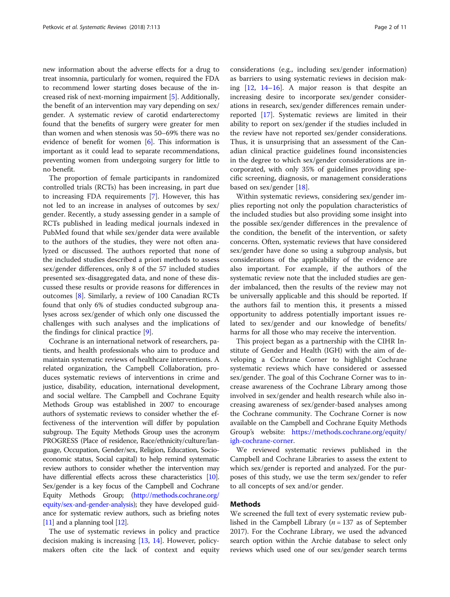new information about the adverse effects for a drug to treat insomnia, particularly for women, required the FDA to recommend lower starting doses because of the increased risk of next-morning impairment [[5\]](#page-10-0). Additionally, the benefit of an intervention may vary depending on sex/ gender. A systematic review of carotid endarterectomy found that the benefits of surgery were greater for men than women and when stenosis was 50–69% there was no evidence of benefit for women  $[6]$  $[6]$ . This information is important as it could lead to separate recommendations, preventing women from undergoing surgery for little to no benefit.

The proportion of female participants in randomized controlled trials (RCTs) has been increasing, in part due to increasing FDA requirements [[7\]](#page-10-0). However, this has not led to an increase in analyses of outcomes by sex/ gender. Recently, a study assessing gender in a sample of RCTs published in leading medical journals indexed in PubMed found that while sex/gender data were available to the authors of the studies, they were not often analyzed or discussed. The authors reported that none of the included studies described a priori methods to assess sex/gender differences, only 8 of the 57 included studies presented sex-disaggregated data, and none of these discussed these results or provide reasons for differences in outcomes [[8\]](#page-10-0). Similarly, a review of 100 Canadian RCTs found that only 6% of studies conducted subgroup analyses across sex/gender of which only one discussed the challenges with such analyses and the implications of the findings for clinical practice [[9\]](#page-10-0).

Cochrane is an international network of researchers, patients, and health professionals who aim to produce and maintain systematic reviews of healthcare interventions. A related organization, the Campbell Collaboration, produces systematic reviews of interventions in crime and justice, disability, education, international development, and social welfare. The Campbell and Cochrane Equity Methods Group was established in 2007 to encourage authors of systematic reviews to consider whether the effectiveness of the intervention will differ by population subgroup. The Equity Methods Group uses the acronym PROGRESS (Place of residence, Race/ethnicity/culture/language, Occupation, Gender/sex, Religion, Education, Socioeconomic status, Social capital) to help remind systematic review authors to consider whether the intervention may have differential effects across these characteristics [\[10](#page-10-0)]. Sex/gender is a key focus of the Campbell and Cochrane Equity Methods Group; ([http://methods.cochrane.org/](http://methods.cochrane.org/equity/sex-and-gender-analysis) [equity/sex-and-gender-analysis](http://methods.cochrane.org/equity/sex-and-gender-analysis)); they have developed guidance for systematic review authors, such as briefing notes [[11\]](#page-10-0) and a planning tool [[12](#page-10-0)].

The use of systematic reviews in policy and practice decision making is increasing [\[13](#page-10-0), [14\]](#page-10-0). However, policymakers often cite the lack of context and equity considerations (e.g., including sex/gender information) as barriers to using systematic reviews in decision making [[12,](#page-10-0) [14](#page-10-0)–[16\]](#page-10-0). A major reason is that despite an increasing desire to incorporate sex/gender considerations in research, sex/gender differences remain underreported [\[17](#page-10-0)]. Systematic reviews are limited in their ability to report on sex/gender if the studies included in the review have not reported sex/gender considerations. Thus, it is unsurprising that an assessment of the Canadian clinical practice guidelines found inconsistencies in the degree to which sex/gender considerations are incorporated, with only 35% of guidelines providing specific screening, diagnosis, or management considerations based on sex/gender [[18](#page-10-0)].

Within systematic reviews, considering sex/gender implies reporting not only the population characteristics of the included studies but also providing some insight into the possible sex/gender differences in the prevalence of the condition, the benefit of the intervention, or safety concerns. Often, systematic reviews that have considered sex/gender have done so using a subgroup analysis, but considerations of the applicability of the evidence are also important. For example, if the authors of the systematic review note that the included studies are gender imbalanced, then the results of the review may not be universally applicable and this should be reported. If the authors fail to mention this, it presents a missed opportunity to address potentially important issues related to sex/gender and our knowledge of benefits/ harms for all those who may receive the intervention.

This project began as a partnership with the CIHR Institute of Gender and Health (IGH) with the aim of developing a Cochrane Corner to highlight Cochrane systematic reviews which have considered or assessed sex/gender. The goal of this Cochrane Corner was to increase awareness of the Cochrane Library among those involved in sex/gender and health research while also increasing awareness of sex/gender-based analyses among the Cochrane community. The Cochrane Corner is now available on the Campbell and Cochrane Equity Methods Group's website: [https://methods.cochrane.org/equity/](https://methods.cochrane.org/equity/igh-cochrane-corner) [igh-cochrane-corner](https://methods.cochrane.org/equity/igh-cochrane-corner).

We reviewed systematic reviews published in the Campbell and Cochrane Libraries to assess the extent to which sex/gender is reported and analyzed. For the purposes of this study, we use the term sex/gender to refer to all concepts of sex and/or gender.

### Methods

We screened the full text of every systematic review published in the Campbell Library ( $n = 137$  as of September 2017). For the Cochrane Library, we used the advanced search option within the Archie database to select only reviews which used one of our sex/gender search terms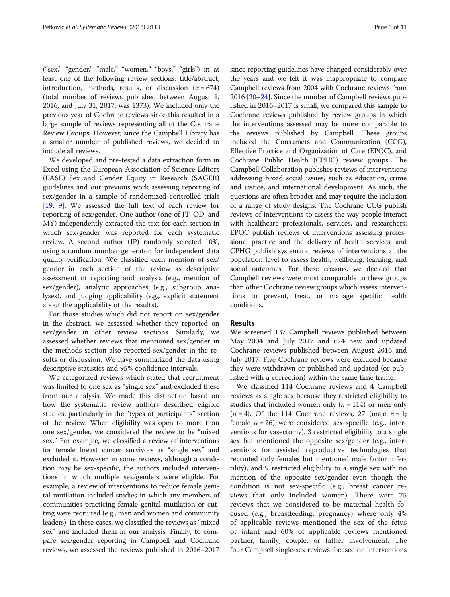("sex," "gender," "male," "women," "boys," "girls") in at least one of the following review sections: title/abstract, introduction, methods, results, or discussion  $(n = 674)$ (total number of reviews published between August 1, 2016, and July 31, 2017, was 1373). We included only the previous year of Cochrane reviews since this resulted in a large sample of reviews representing all of the Cochrane Review Groups. However, since the Campbell Library has a smaller number of published reviews, we decided to include all reviews.

We developed and pre-tested a data extraction form in Excel using the European Association of Science Editors (EASE) Sex and Gender Equity in Research (SAGER) guidelines and our previous work assessing reporting of sex/gender in a sample of randomized controlled trials [[19,](#page-10-0) [9](#page-10-0)]. We assessed the full text of each review for reporting of sex/gender. One author (one of JT, OD, and MY) independently extracted the text for each section in which sex/gender was reported for each systematic review. A second author (JP) randomly selected 10%, using a random number generator, for independent data quality verification. We classified each mention of sex/ gender in each section of the review as descriptive assessment of reporting and analysis (e.g., mention of sex/gender), analytic approaches (e.g., subgroup analyses), and judging applicability (e.g., explicit statement about the applicability of the results).

For those studies which did not report on sex/gender in the abstract, we assessed whether they reported on sex/gender in other review sections. Similarly, we assessed whether reviews that mentioned sex/gender in the methods section also reported sex/gender in the results or discussion. We have summarized the data using descriptive statistics and 95% confidence intervals.

We categorized reviews which stated that recruitment was limited to one sex as "single sex" and excluded these from our analysis. We made this distinction based on how the systematic review authors described eligible studies, particularly in the "types of participants" section of the review. When eligibility was open to more than one sex/gender, we considered the review to be "mixed sex." For example, we classified a review of interventions for female breast cancer survivors as "single sex" and excluded it. However, in some reviews, although a condition may be sex-specific, the authors included interventions in which multiple sex/genders were eligible. For example, a review of interventions to reduce female genital mutilation included studies in which any members of communities practicing female genital mutilation or cutting were recruited (e.g., men and women and community leaders). In these cases, we classified the reviews as "mixed sex" and included them in our analysis. Finally, to compare sex/gender reporting in Campbell and Cochrane reviews, we assessed the reviews published in 2016–2017

since reporting guidelines have changed considerably over the years and we felt it was inappropriate to compare Campbell reviews from 2004 with Cochrane reviews from 2016 [[20](#page-10-0)–[24\]](#page-10-0). Since the number of Campbell reviews published in 2016–2017 is small, we compared this sample to Cochrane reviews published by review groups in which the interventions assessed may be more comparable to the reviews published by Campbell. These groups included the Consumers and Communication (CCG), Effective Practice and Organization of Care (EPOC), and Cochrane Public Health (CPHG) review groups. The Campbell Collaboration publishes reviews of interventions addressing broad social issues, such as education, crime and justice, and international development. As such, the questions are often broader and may require the inclusion of a range of study designs. The Cochrane CCG publish reviews of interventions to assess the way people interact with healthcare professionals, services, and researchers; EPOC publish reviews of interventions assessing professional practice and the delivery of health services; and CPHG publish systematic reviews of interventions at the population level to assess health, wellbeing, learning, and social outcomes. For these reasons, we decided that Campbell reviews were most comparable to these groups than other Cochrane review groups which assess interventions to prevent, treat, or manage specific health conditions.

## Results

We screened 137 Campbell reviews published between May 2004 and July 2017 and 674 new and updated Cochrane reviews published between August 2016 and July 2017. Five Cochrane reviews were excluded because they were withdrawn or published and updated (or published with a correction) within the same time frame.

We classified 114 Cochrane reviews and 4 Campbell reviews as single sex because they restricted eligibility to studies that included women only ( $n = 114$ ) or men only  $(n = 4)$ . Of the 114 Cochrane reviews, 27 (male  $n = 1$ ; female  $n = 26$ ) were considered sex-specific (e.g., interventions for vasectomy), 3 restricted eligibility to a single sex but mentioned the opposite sex/gender (e.g., interventions for assisted reproductive technologies that recruited only females but mentioned male factor infertility), and 9 restricted eligibility to a single sex with no mention of the opposite sex/gender even though the condition is not sex-specific (e.g., breast cancer reviews that only included women). There were 75 reviews that we considered to be maternal health focused (e.g., breastfeeding, pregnancy) where only 4% of applicable reviews mentioned the sex of the fetus or infant and 60% of applicable reviews mentioned partner, family, couple, or father involvement. The four Campbell single-sex reviews focused on interventions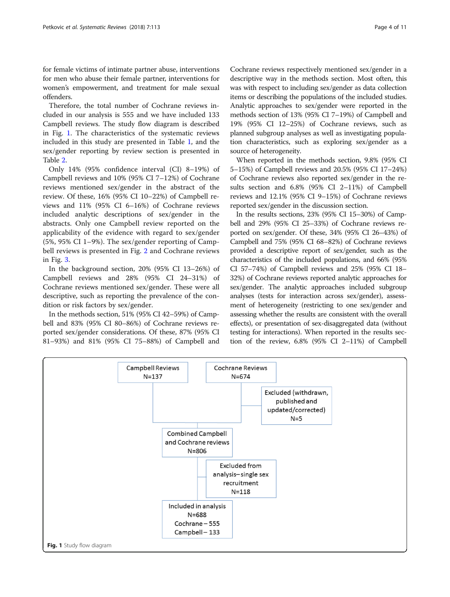for female victims of intimate partner abuse, interventions for men who abuse their female partner, interventions for women's empowerment, and treatment for male sexual offenders.

Therefore, the total number of Cochrane reviews included in our analysis is 555 and we have included 133 Campbell reviews. The study flow diagram is described in Fig. 1. The characteristics of the systematic reviews included in this study are presented in Table [1](#page-4-0), and the sex/gender reporting by review section is presented in Table [2.](#page-5-0)

Only 14% (95% confidence interval (CI) 8–19%) of Campbell reviews and 10% (95% CI 7–12%) of Cochrane reviews mentioned sex/gender in the abstract of the review. Of these, 16% (95% CI 10–22%) of Campbell reviews and 11% (95% CI 6–16%) of Cochrane reviews included analytic descriptions of sex/gender in the abstracts. Only one Campbell review reported on the applicability of the evidence with regard to sex/gender (5%, 95% CI 1–9%). The sex/gender reporting of Campbell reviews is presented in Fig. [2](#page-6-0) and Cochrane reviews in Fig. [3.](#page-6-0)

In the background section, 20% (95% CI 13–26%) of Campbell reviews and 28% (95% CI 24–31%) of Cochrane reviews mentioned sex/gender. These were all descriptive, such as reporting the prevalence of the condition or risk factors by sex/gender.

In the methods section, 51% (95% CI 42–59%) of Campbell and 83% (95% CI 80–86%) of Cochrane reviews reported sex/gender considerations. Of these, 87% (95% CI 81–93%) and 81% (95% CI 75–88%) of Campbell and

Cochrane reviews respectively mentioned sex/gender in a descriptive way in the methods section. Most often, this was with respect to including sex/gender as data collection items or describing the populations of the included studies. Analytic approaches to sex/gender were reported in the methods section of 13% (95% CI 7–19%) of Campbell and 19% (95% CI 12–25%) of Cochrane reviews, such as planned subgroup analyses as well as investigating population characteristics, such as exploring sex/gender as a source of heterogeneity.

When reported in the methods section, 9.8% (95% CI 5–15%) of Campbell reviews and 20.5% (95% CI 17–24%) of Cochrane reviews also reported sex/gender in the results section and 6.8% (95% CI 2–11%) of Campbell reviews and 12.1% (95% CI 9–15%) of Cochrane reviews reported sex/gender in the discussion section.

In the results sections, 23% (95% CI 15–30%) of Campbell and 29% (95% CI 25–33%) of Cochrane reviews reported on sex/gender. Of these, 34% (95% CI 26–43%) of Campbell and 75% (95% CI 68–82%) of Cochrane reviews provided a descriptive report of sex/gender, such as the characteristics of the included populations, and 66% (95% CI 57–74%) of Campbell reviews and 25% (95% CI 18– 32%) of Cochrane reviews reported analytic approaches for sex/gender. The analytic approaches included subgroup analyses (tests for interaction across sex/gender), assessment of heterogeneity (restricting to one sex/gender and assessing whether the results are consistent with the overall effects), or presentation of sex-disaggregated data (without testing for interactions). When reported in the results section of the review, 6.8% (95% CI 2–11%) of Campbell

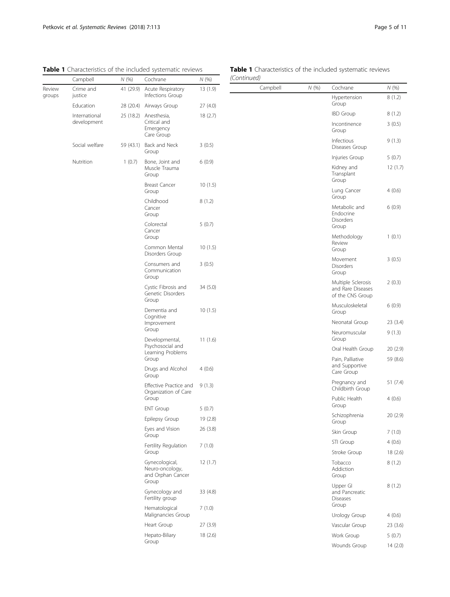|                  | Campbell                     | N (%)     | Cochrane                                                         | N (%)    |
|------------------|------------------------------|-----------|------------------------------------------------------------------|----------|
| Review<br>groups | Crime and<br>justice         | 41 (29.9) | Acute Respiratory<br>Infections Group                            | 13 (1.9) |
|                  | Education                    | 28 (20.4) | Airways Group                                                    | 27 (4.0) |
|                  | International<br>development | 25 (18.2) | Anesthesia,<br>Critical and<br>Emergency<br>Care Group           | 18(2.7)  |
|                  | Social welfare               | 59 (43.1) | Back and Neck<br>Group                                           | 3(0.5)   |
|                  | Nutrition                    | 1(0.7)    | Bone, Joint and<br>Muscle Trauma<br>Group                        | 6(0.9)   |
|                  |                              |           | Breast Cancer<br>Group                                           | 10(1.5)  |
|                  |                              |           | Childhood<br>Cancer<br>Group                                     | 8 (1.2)  |
|                  |                              |           | Colorectal<br>Cancer<br>Group                                    | 5(0.7)   |
|                  |                              |           | Common Mental<br>Disorders Group                                 | 10(1.5)  |
|                  |                              |           | Consumers and<br>Communication<br>Group                          | 3(0.5)   |
|                  |                              |           | Cystic Fibrosis and<br>Genetic Disorders<br>Group                | 34 (5.0) |
|                  |                              |           | Dementia and<br>Cognitive<br>Improvement<br>Group                | 10(1.5)  |
|                  |                              |           | Developmental,<br>Psychosocial and<br>Learning Problems<br>Group | 11(1.6)  |
|                  |                              |           | Drugs and Alcohol<br>Group                                       | 4 (0.6)  |
|                  |                              |           | Effective Practice and<br>Organization of Care<br>Group          | 9 (1.3)  |
|                  |                              |           | <b>ENT Group</b>                                                 | 5(0.7)   |
|                  |                              |           | Epilepsy Group                                                   | 19 (2.8) |
|                  |                              |           | Eyes and Vision<br>Group                                         | 26 (3.8) |
|                  |                              |           | Fertility Regulation<br>Group                                    | 7(1.0)   |
|                  |                              |           | Gynecological,<br>Neuro-oncology,<br>and Orphan Cancer<br>Group  | 12(1.7)  |
|                  |                              |           | Gynecology and<br>Fertility group                                | 33 (4.8) |
|                  |                              |           | Hematological<br>Malignancies Group                              | 7(1.0)   |
|                  |                              |           | Heart Group                                                      | 27 (3.9) |
|                  |                              |           | Hepato-Biliary                                                   | 18 (2.6) |

Hepato-Biliary Group

<span id="page-4-0"></span>Table 1 Characteristics of the included systematic reviews

## Table 1 Characteristics of the included systematic reviews (Continued)

| Campbell | N (%) | Cochrane                                                    | N (%)    |
|----------|-------|-------------------------------------------------------------|----------|
|          |       | Hypertension<br>Group                                       | 8(1.2)   |
|          |       | <b>IBD Group</b>                                            | 8(1.2)   |
|          |       | Incontinence<br>Group                                       | 3(0.5)   |
|          |       | Infectious<br>Diseases Group                                | 9(1.3)   |
|          |       | Injuries Group                                              | 5(0.7)   |
|          |       | Kidney and<br>Transplant<br>Group                           | 12(1.7)  |
|          |       | Lung Cancer<br>Group                                        | 4(0.6)   |
|          |       | Metabolic and<br>Endocrine<br>Disorders<br>Group            | 6(0.9)   |
|          |       | Methodology<br>Review<br>Group                              | 1(0.1)   |
|          |       | Movement<br><b>Disorders</b><br>Group                       | 3(0.5)   |
|          |       | Multiple Sclerosis<br>and Rare Diseases<br>of the CNS Group | 2(0.3)   |
|          |       | Musculoskeletal<br>Group                                    | 6(0.9)   |
|          |       | Neonatal Group                                              | 23 (3.4) |
|          |       | Neuromuscular<br>Group                                      | 9(1.3)   |
|          |       | Oral Health Group                                           | 20(2.9)  |
|          |       | Pain, Palliative<br>and Supportive<br>Care Group            | 59 (8.6) |
|          |       | Pregnancy and<br>Childbirth Group                           | 51 (7.4) |
|          |       | Public Health<br>Group                                      | 4(0.6)   |
|          |       | Schizophrenia<br>Group                                      | 20 (2.9) |
|          |       | Skin Group                                                  | 7(1.0)   |
|          |       | STI Group                                                   | 4(0.6)   |
|          |       | Stroke Group                                                | 18 (2.6) |
|          |       | Tobacco<br>Addiction<br>Group                               | 8(1.2)   |
|          |       | Upper GI<br>and Pancreatic<br><b>Diseases</b><br>Group      | 8(1.2)   |
|          |       | Urology Group                                               | 4(0.6)   |
|          |       | Vascular Group                                              | 23(3.6)  |
|          |       | Work Group                                                  | 5(0.7)   |
|          |       | Wounds Group                                                | 14 (2.0) |
|          |       |                                                             |          |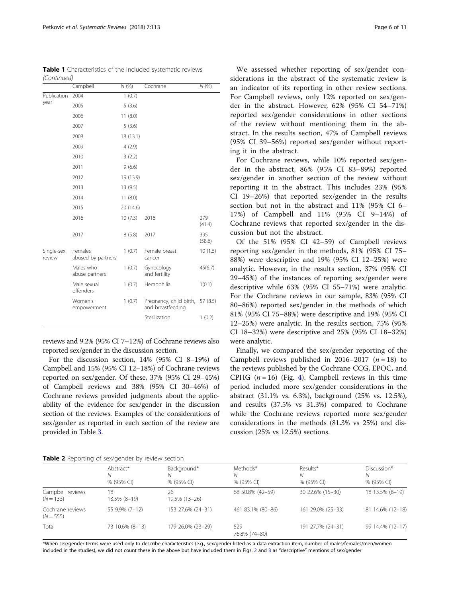reviews and 9.2% (95% CI 7–12%) of Cochrane reviews also reported sex/gender in the discussion section.

For the discussion section, 14% (95% CI 8–19%) of Campbell and 15% (95% CI 12–18%) of Cochrane reviews reported on sex/gender. Of these, 37% (95% CI 29–45%) of Campbell reviews and 38% (95% CI 30–46%) of Cochrane reviews provided judgments about the applicability of the evidence for sex/gender in the discussion section of the reviews. Examples of the considerations of sex/gender as reported in each section of the review are provided in Table [3](#page-7-0).

We assessed whether reporting of sex/gender considerations in the abstract of the systematic review is an indicator of its reporting in other review sections. For Campbell reviews, only 12% reported on sex/gender in the abstract. However, 62% (95% CI 54–71%) reported sex/gender considerations in other sections of the review without mentioning them in the abstract. In the results section, 47% of Campbell reviews (95% CI 39–56%) reported sex/gender without reporting it in the abstract.

For Cochrane reviews, while 10% reported sex/gender in the abstract, 86% (95% CI 83–89%) reported sex/gender in another section of the review without reporting it in the abstract. This includes 23% (95% CI 19–26%) that reported sex/gender in the results section but not in the abstract and 11% (95% CI 6– 17%) of Campbell and 11% (95% CI 9–14%) of Cochrane reviews that reported sex/gender in the discussion but not the abstract.

Of the 51% (95% CI 42–59) of Campbell reviews reporting sex/gender in the methods, 81% (95% CI 75– 88%) were descriptive and 19% (95% CI 12–25%) were analytic. However, in the results section, 37% (95% CI 29–45%) of the instances of reporting sex/gender were descriptive while 63% (95% CI 55–71%) were analytic. For the Cochrane reviews in our sample, 83% (95% CI 80–86%) reported sex/gender in the methods of which 81% (95% CI 75–88%) were descriptive and 19% (95% CI 12–25%) were analytic. In the results section, 75% (95% CI 18–32%) were descriptive and 25% (95% CI 18–32%) were analytic.

Finally, we compared the sex/gender reporting of the Campbell reviews published in 2016–2017  $(n = 18)$  to the reviews published by the Cochrane CCG, EPOC, and CPHG  $(n = 16)$  (Fig. [4](#page-8-0)). Campbell reviews in this time period included more sex/gender considerations in the abstract (31.1% vs. 6.3%), background (25% vs. 12.5%), and results (37.5% vs 31.3%) compared to Cochrane while the Cochrane reviews reported more sex/gender considerations in the methods (81.3% vs 25%) and discussion (25% vs 12.5%) sections.

|  | Table 2 Reporting of sex/gender by review section |  |  |  |
|--|---------------------------------------------------|--|--|--|
|  |                                                   |  |  |  |

|                                 | Abstract*<br>% (95% CI) | Background*<br>N<br>% (95% CI) | Methods*<br>% (95% CI) | Results*<br>% (95% CI) | Discussion*<br>Ν<br>% (95% CI) |
|---------------------------------|-------------------------|--------------------------------|------------------------|------------------------|--------------------------------|
| Campbell reviews<br>$(N = 133)$ | 18<br>13.5% (8–19)      | 26<br>19.5% (13-26)            | 68 50.8% (42-59)       | 30 22.6% (15-30)       | 18 13.5% (8-19)                |
| Cochrane reviews<br>$(N = 555)$ | 55 9.9% (7-12)          | 153 27.6% (24-31)              | 461 83.1% (80-86)      | 161 29.0% (25-33)      | 81 14.6% (12-18)               |
| Total                           | 73 10.6% (8-13)         | 179 26.0% (23-29)              | 529<br>76.8% (74-80)   | 191 27.7% (24-31)      | 99 14.4% (12-17)               |

\*When sex/gender terms were used only to describe characteristics (e.g., sex/gender listed as a data extraction item, number of males/females/men/women included in the studies), we did not count these in the above but have included them in Figs. [2](#page-6-0) and [3](#page-6-0) as "descriptive" mentions of sex/gender

<span id="page-5-0"></span>Table 1 Characteristics of the included systematic reviews (Continued)

|                      | Campbell                      | N(%)      | Cochrane                                     | N (%)         |
|----------------------|-------------------------------|-----------|----------------------------------------------|---------------|
| Publication<br>year  | 2004                          | 1(0.7)    |                                              |               |
|                      | 2005                          | 5(3.6)    |                                              |               |
|                      | 2006                          | 11(8.0)   |                                              |               |
|                      | 2007                          | 5(3.6)    |                                              |               |
|                      | 2008                          | 18 (13.1) |                                              |               |
|                      | 2009                          | 4(2.9)    |                                              |               |
|                      | 2010                          | 3(2.2)    |                                              |               |
|                      | 2011                          | 9(6.6)    |                                              |               |
|                      | 2012                          | 19 (13.9) |                                              |               |
|                      | 2013                          | 13 (9.5)  |                                              |               |
|                      | 2014                          | 11(8.0)   |                                              |               |
|                      | 2015                          | 20 (14.6) |                                              |               |
|                      | 2016                          | 10(7.3)   | 2016                                         | 279<br>(41.4) |
|                      | 2017                          | 8(5.8)    | 2017                                         | 395<br>(58.6) |
| Single-sex<br>review | Females<br>abused by partners | 1(0.7)    | Female breast<br>cancer                      | 10(1.5)       |
|                      | Males who<br>abuse partners   | 1(0.7)    | Gynecology<br>and fertility                  | 45(6.7)       |
|                      | Male sexual<br>offenders      | 1(0.7)    | Hemophilia                                   | 1(0.1)        |
|                      | Women's<br>empowerment        | 1(0.7)    | Pregnancy, child birth,<br>and breastfeeding | 57 (8.5)      |
|                      |                               |           | Sterilization                                | 1(0.2)        |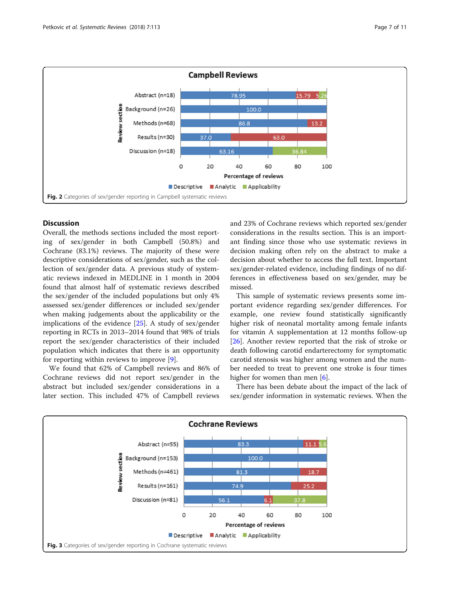<span id="page-6-0"></span>

## **Discussion**

Overall, the methods sections included the most reporting of sex/gender in both Campbell (50.8%) and Cochrane (83.1%) reviews. The majority of these were descriptive considerations of sex/gender, such as the collection of sex/gender data. A previous study of systematic reviews indexed in MEDLINE in 1 month in 2004 found that almost half of systematic reviews described the sex/gender of the included populations but only 4% assessed sex/gender differences or included sex/gender when making judgements about the applicability or the implications of the evidence [\[25\]](#page-10-0). A study of sex/gender reporting in RCTs in 2013–2014 found that 98% of trials report the sex/gender characteristics of their included population which indicates that there is an opportunity for reporting within reviews to improve [\[9](#page-10-0)].

We found that 62% of Campbell reviews and 86% of Cochrane reviews did not report sex/gender in the abstract but included sex/gender considerations in a later section. This included 47% of Campbell reviews and 23% of Cochrane reviews which reported sex/gender considerations in the results section. This is an important finding since those who use systematic reviews in decision making often rely on the abstract to make a decision about whether to access the full text. Important sex/gender-related evidence, including findings of no differences in effectiveness based on sex/gender, may be missed.

This sample of systematic reviews presents some important evidence regarding sex/gender differences. For example, one review found statistically significantly higher risk of neonatal mortality among female infants for vitamin A supplementation at 12 months follow-up [[26\]](#page-10-0). Another review reported that the risk of stroke or death following carotid endarterectomy for symptomatic carotid stenosis was higher among women and the number needed to treat to prevent one stroke is four times higher for women than men [[6](#page-10-0)].

There has been debate about the impact of the lack of sex/gender information in systematic reviews. When the

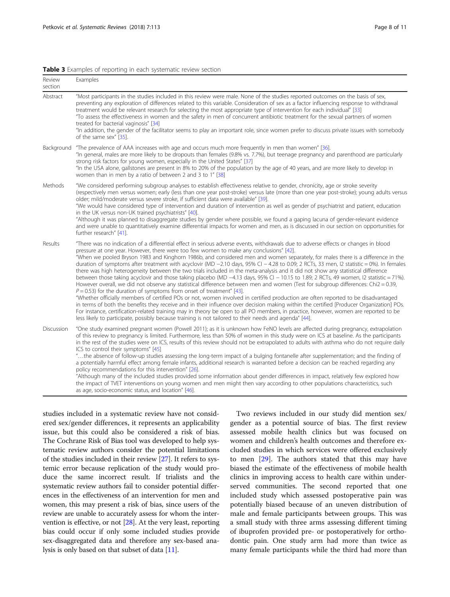<span id="page-7-0"></span>

|  |  | <b>Table 3</b> Examples of reporting in each systematic review section |  |
|--|--|------------------------------------------------------------------------|--|
|--|--|------------------------------------------------------------------------|--|

| Review<br>section | Examples                                                                                                                                                                                                                                                                                                                                                                                                                                                                                                                                                                                                                                                                                                                                                                                                                                                                                                                                                                                                                                                                                                                                                                                                                                                                                                                                                                                                                                                                                                                                         |
|-------------------|--------------------------------------------------------------------------------------------------------------------------------------------------------------------------------------------------------------------------------------------------------------------------------------------------------------------------------------------------------------------------------------------------------------------------------------------------------------------------------------------------------------------------------------------------------------------------------------------------------------------------------------------------------------------------------------------------------------------------------------------------------------------------------------------------------------------------------------------------------------------------------------------------------------------------------------------------------------------------------------------------------------------------------------------------------------------------------------------------------------------------------------------------------------------------------------------------------------------------------------------------------------------------------------------------------------------------------------------------------------------------------------------------------------------------------------------------------------------------------------------------------------------------------------------------|
| Abstract          | "Most participants in the studies included in this review were male. None of the studies reported outcomes on the basis of sex,<br>preventing any exploration of differences related to this variable. Consideration of sex as a factor influencing response to withdrawal<br>treatment would be relevant research for selecting the most appropriate type of intervention for each individual" [33]<br>"To assess the effectiveness in women and the safety in men of concurrent antibiotic treatment for the sexual partners of women<br>treated for bacterial vaginosis" [34]<br>"In addition, the gender of the facilitator seems to play an important role, since women prefer to discuss private issues with somebody<br>of the same sex" [35].                                                                                                                                                                                                                                                                                                                                                                                                                                                                                                                                                                                                                                                                                                                                                                                            |
| Background        | "The prevalence of AAA increases with age and occurs much more frequently in men than women" [36].<br>"In general, males are more likely to be dropouts than females (9.8% vs. 7.7%), but teenage pregnancy and parenthood are particularly<br>strong risk factors for young women, especially in the United States" [37]<br>"In the USA alone, gallstones are present in 8% to 20% of the population by the age of 40 years, and are more likely to develop in<br>women than in men by a ratio of between 2 and 3 to 1" [38]                                                                                                                                                                                                                                                                                                                                                                                                                                                                                                                                                                                                                                                                                                                                                                                                                                                                                                                                                                                                                    |
| Methods           | "We considered performing subgroup analyses to establish effectiveness relative to gender, chronicity, age or stroke severity<br>(respectively men versus women; early (less than one year post-stroke) versus late (more than one year post-stroke); young adults versus<br>older; mild/moderate versus severe stroke, if sufficient data were available" [39].<br>"We would have considered type of intervention and duration of intervention as well as gender of psychiatrist and patient, education<br>in the UK versus non-UK trained psychiatrists" [40].<br>"Although it was planned to disaggregate studies by gender where possible, we found a gaping lacuna of gender-relevant evidence<br>and were unable to quantitatively examine differential impacts for women and men, as is discussed in our section on opportunities for<br>further research" [41].                                                                                                                                                                                                                                                                                                                                                                                                                                                                                                                                                                                                                                                                          |
| Results           | "There was no indication of a differential effect in serious adverse events, withdrawals due to adverse effects or changes in blood<br>pressure at one year. However, there were too few women to make any conclusions" [42].<br>"When we pooled Bryson 1983 and Kinghorn 1986b, and considered men and women separately, for males there is a difference in the<br>duration of symptoms after treatment with acyclovir (MD -2.10 days, 95% CI - 4.28 to 0.09; 2 RCTs, 33 men, I2 statistic = 0%). In females<br>there was high heterogeneity between the two trials included in the meta-analysis and it did not show any statistical difference<br>between those taking acyclovir and those taking placebo (MD -4.13 days, 95% CI - 10.15 to 1.89; 2 RCTs, 49 women, I2 statistic = 71%).<br>However overall, we did not observe any statistical difference between men and women (Test for subgroup differences: Chi2 = 0.39,<br>$P = 0.53$ ) for the duration of symptoms from onset of treatment" [43].<br>"Whether officially members of certified POs or not, women involved in certified production are often reported to be disadvantaged<br>in terms of both the benefits they receive and in their influence over decision making within the certified [Producer Organization] POs.<br>For instance, certification-related training may in theory be open to all PO members, in practice, however, women are reported to be<br>less likely to participate, possibly because training is not tailored to their needs and agenda" [44]. |
| Discussion        | "One study examined pregnant women (Powell 2011); as it is unknown how FeNO levels are affected during pregnancy, extrapolation<br>of this review to pregnancy is limited. Furthermore, less than 50% of women in this study were on ICS at baseline. As the participants<br>in the rest of the studies were on ICS, results of this review should not be extrapolated to adults with asthma who do not require daily<br>ICS to control their symptoms" [45]<br>"the absence of follow-up studies assessing the long-term impact of a bulging fontanelle after supplementation; and the finding of<br>a potentially harmful effect among female infants, additional research is warranted before a decision can be reached regarding any<br>policy recommendations for this intervention" [26].<br>"Although many of the included studies provided some information about gender differences in impact, relatively few explored how<br>the impact of TVET interventions on young women and men might then vary according to other populations characteristics, such<br>as age, socio-economic status, and location" [46].                                                                                                                                                                                                                                                                                                                                                                                                                        |

studies included in a systematic review have not considered sex/gender differences, it represents an applicability issue, but this could also be considered a risk of bias. The Cochrane Risk of Bias tool was developed to help systematic review authors consider the potential limitations of the studies included in their review [\[27\]](#page-10-0). It refers to systemic error because replication of the study would produce the same incorrect result. If trialists and the systematic review authors fail to consider potential differences in the effectiveness of an intervention for men and women, this may present a risk of bias, since users of the review are unable to accurately assess for whom the intervention is effective, or not [\[28\]](#page-10-0). At the very least, reporting bias could occur if only some included studies provide sex-disaggregated data and therefore any sex-based analysis is only based on that subset of data [[11](#page-10-0)].

Two reviews included in our study did mention sex/ gender as a potential source of bias. The first review assessed mobile health clinics but was focused on women and children's health outcomes and therefore excluded studies in which services were offered exclusively to men [[29\]](#page-10-0). The authors stated that this may have biased the estimate of the effectiveness of mobile health clinics in improving access to health care within underserved communities. The second reported that one included study which assessed postoperative pain was potentially biased because of an uneven distribution of male and female participants between groups. This was a small study with three arms assessing different timing of ibuprofen provided pre- or postoperatively for orthodontic pain. One study arm had more than twice as many female participants while the third had more than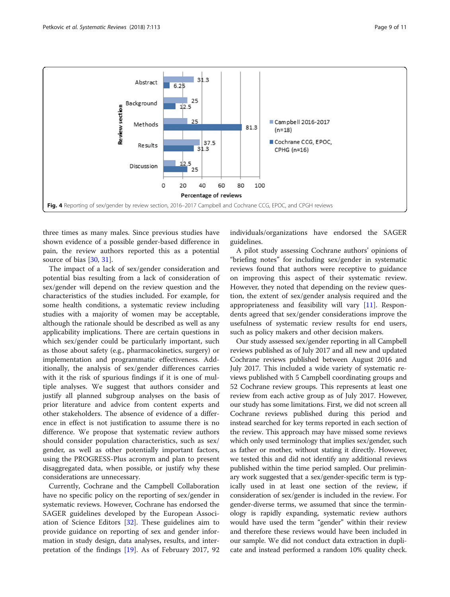

<span id="page-8-0"></span>

three times as many males. Since previous studies have shown evidence of a possible gender-based difference in pain, the review authors reported this as a potential source of bias [[30](#page-10-0), [31](#page-10-0)].

The impact of a lack of sex/gender consideration and potential bias resulting from a lack of consideration of sex/gender will depend on the review question and the characteristics of the studies included. For example, for some health conditions, a systematic review including studies with a majority of women may be acceptable, although the rationale should be described as well as any applicability implications. There are certain questions in which sex/gender could be particularly important, such as those about safety (e.g., pharmacokinetics, surgery) or implementation and programmatic effectiveness. Additionally, the analysis of sex/gender differences carries with it the risk of spurious findings if it is one of multiple analyses. We suggest that authors consider and justify all planned subgroup analyses on the basis of prior literature and advice from content experts and other stakeholders. The absence of evidence of a difference in effect is not justification to assume there is no difference. We propose that systematic review authors should consider population characteristics, such as sex/ gender, as well as other potentially important factors, using the PROGRESS-Plus acronym and plan to present disaggregated data, when possible, or justify why these considerations are unnecessary.

Currently, Cochrane and the Campbell Collaboration have no specific policy on the reporting of sex/gender in systematic reviews. However, Cochrane has endorsed the SAGER guidelines developed by the European Association of Science Editors [\[32](#page-10-0)]. These guidelines aim to provide guidance on reporting of sex and gender information in study design, data analyses, results, and interpretation of the findings [\[19](#page-10-0)]. As of February 2017, 92

individuals/organizations have endorsed the SAGER guidelines.

A pilot study assessing Cochrane authors' opinions of "briefing notes" for including sex/gender in systematic reviews found that authors were receptive to guidance on improving this aspect of their systematic review. However, they noted that depending on the review question, the extent of sex/gender analysis required and the appropriateness and feasibility will vary [\[11](#page-10-0)]. Respondents agreed that sex/gender considerations improve the usefulness of systematic review results for end users, such as policy makers and other decision makers.

Our study assessed sex/gender reporting in all Campbell reviews published as of July 2017 and all new and updated Cochrane reviews published between August 2016 and July 2017. This included a wide variety of systematic reviews published with 5 Campbell coordinating groups and 52 Cochrane review groups. This represents at least one review from each active group as of July 2017. However, our study has some limitations. First, we did not screen all Cochrane reviews published during this period and instead searched for key terms reported in each section of the review. This approach may have missed some reviews which only used terminology that implies sex/gender, such as father or mother, without stating it directly. However, we tested this and did not identify any additional reviews published within the time period sampled. Our preliminary work suggested that a sex/gender-specific term is typically used in at least one section of the review, if consideration of sex/gender is included in the review. For gender-diverse terms, we assumed that since the terminology is rapidly expanding, systematic review authors would have used the term "gender" within their review and therefore these reviews would have been included in our sample. We did not conduct data extraction in duplicate and instead performed a random 10% quality check.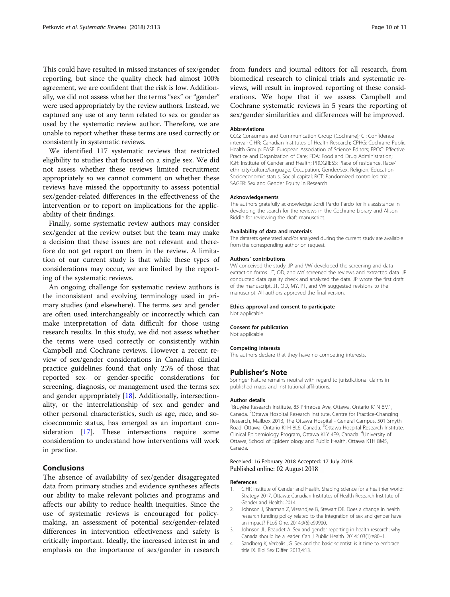<span id="page-9-0"></span>This could have resulted in missed instances of sex/gender reporting, but since the quality check had almost 100% agreement, we are confident that the risk is low. Additionally, we did not assess whether the terms "sex" or "gender" were used appropriately by the review authors. Instead, we captured any use of any term related to sex or gender as used by the systematic review author. Therefore, we are unable to report whether these terms are used correctly or consistently in systematic reviews.

We identified 117 systematic reviews that restricted eligibility to studies that focused on a single sex. We did not assess whether these reviews limited recruitment appropriately so we cannot comment on whether these reviews have missed the opportunity to assess potential sex/gender-related differences in the effectiveness of the intervention or to report on implications for the applicability of their findings.

Finally, some systematic review authors may consider sex/gender at the review outset but the team may make a decision that these issues are not relevant and therefore do not get report on them in the review. A limitation of our current study is that while these types of considerations may occur, we are limited by the reporting of the systematic reviews.

An ongoing challenge for systematic review authors is the inconsistent and evolving terminology used in primary studies (and elsewhere). The terms sex and gender are often used interchangeably or incorrectly which can make interpretation of data difficult for those using research results. In this study, we did not assess whether the terms were used correctly or consistently within Campbell and Cochrane reviews. However a recent review of sex/gender considerations in Canadian clinical practice guidelines found that only 25% of those that reported sex- or gender-specific considerations for screening, diagnosis, or management used the terms sex and gender appropriately [[18](#page-10-0)]. Additionally, intersectionality, or the interrelationship of sex and gender and other personal characteristics, such as age, race, and socioeconomic status, has emerged as an important consideration [[17\]](#page-10-0). These intersections require some consideration to understand how interventions will work in practice.

## Conclusions

The absence of availability of sex/gender disaggregated data from primary studies and evidence syntheses affects our ability to make relevant policies and programs and affects our ability to reduce health inequities. Since the use of systematic reviews is encouraged for policymaking, an assessment of potential sex/gender-related differences in intervention effectiveness and safety is critically important. Ideally, the increased interest in and emphasis on the importance of sex/gender in research

from funders and journal editors for all research, from biomedical research to clinical trials and systematic reviews, will result in improved reporting of these considerations. We hope that if we assess Campbell and Cochrane systematic reviews in 5 years the reporting of sex/gender similarities and differences will be improved.

#### Abbreviations

CCG: Consumers and Communication Group (Cochrane); CI: Confidence interval; CIHR: Canadian Institutes of Health Research; CPHG: Cochrane Public Health Group; EASE: European Association of Science Editors; EPOC: Effective Practice and Organization of Care; FDA: Food and Drug Administration; IGH: Institute of Gender and Health; PROGRESS: Place of residence, Race/ ethnicity/culture/language, Occupation, Gender/sex, Religion, Education, Socioeconomic status, Social capital; RCT: Randomized controlled trial; SAGER: Sex and Gender Equity in Research

#### Acknowledgements

The authors gratefully acknowledge Jordi Pardo Pardo for his assistance in developing the search for the reviews in the Cochrane Library and Alison Riddle for reviewing the draft manuscript.

#### Availability of data and materials

The datasets generated and/or analyzed during the current study are available from the corresponding author on request.

#### Authors' contributions

VW conceived the study. JP and VW developed the screening and data extraction forms. JT, OD, and MY screened the reviews and extracted data. JP conducted data quality check and analyzed the data. JP wrote the first draft of the manuscript. JT, OD, MY, PT, and VW suggested revisions to the manuscript. All authors approved the final version.

#### Ethics approval and consent to participate

Not applicable

#### Consent for publication

Not applicable

#### Competing interests

The authors declare that they have no competing interests.

#### Publisher's Note

Springer Nature remains neutral with regard to jurisdictional claims in published maps and institutional affiliations.

#### Author details

<sup>1</sup> Bruyère Research Institute, 85 Primrose Ave, Ottawa, Ontario K1N 6M1, Canada. <sup>2</sup>Ottawa Hospital Research Institute, Centre for Practice-Changing Research, Mailbox 201B, The Ottawa Hospital - General Campus, 501 Smyth Road, Ottawa, Ontario K1H 8L6, Canada. <sup>3</sup>Ottawa Hospital Research Institute, Clinical Epidemiology Program, Ottawa K1Y 4E9, Canada. <sup>4</sup>University of Ottawa, School of Epidemiology and Public Health, Ottawa K1H 8M5, Canada.

### Received: 16 February 2018 Accepted: 17 July 2018 Published online: 02 August 2018

#### References

- 1. CIHR Institute of Gender and Health. Shaping science for a healthier world: Strategy 2017. Ottawa: Canadian Institutes of Health Research Institute of Gender and Health; 2014.
- 2. Johnson J, Sharman Z, Vissandjee B, Stewart DE. Does a change in health research funding policy related to the integration of sex and gender have an impact? PLoS One. 2014;9(6):e99900.
- 3. Johnson JL, Beaudet A. Sex and gender reporting in health research: why Canada should be a leader. Can J Public Health. 2014;103(1):e80–1.
- 4. Sandberg K, Verbalis JG. Sex and the basic scientist: is it time to embrace title IX. Biol Sex Differ. 2013;4:13.